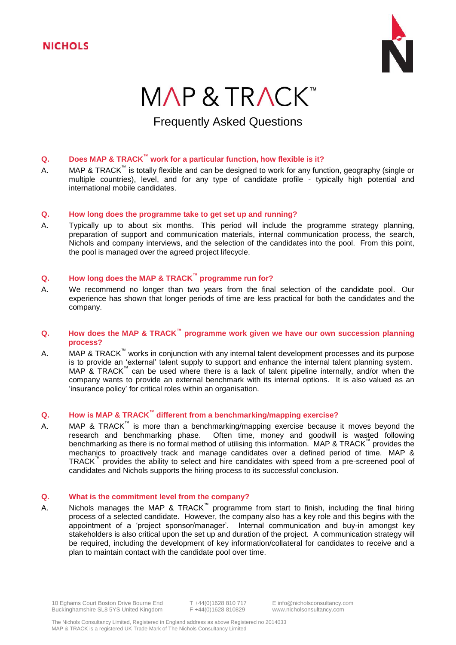

# MAP & TRACK™

# Frequently Asked Questions

# **Q. Does MAP & TRACK™ work for a particular function, how flexible is it?**

A. MAP & TRACK<sup>™</sup> is totally flexible and can be designed to work for any function, geography (single or multiple countries), level, and for any type of candidate profile - typically high potential and international mobile candidates.

# **Q. How long does the programme take to get set up and running?**

A. Typically up to about six months. This period will include the programme strategy planning, preparation of support and communication materials, internal communication process, the search, Nichols and company interviews, and the selection of the candidates into the pool. From this point, the pool is managed over the agreed project lifecycle.

# **Q. How long does the MAP & TRACK™ programme run for?**

A. We recommend no longer than two years from the final selection of the candidate pool. Our experience has shown that longer periods of time are less practical for both the candidates and the company.

# **Q. How does the MAP & TRACK™ programme work given we have our own succession planning process?**

A. MAP & TRACK<sup>™</sup> works in conjunction with any internal talent development processes and its purpose is to provide an 'external' talent supply to support and enhance the internal talent planning system. MAP & TRACK<sup>™</sup> can be used where there is a lack of talent pipeline internally, and/or when the company wants to provide an external benchmark with its internal options. It is also valued as an 'insurance policy' for critical roles within an organisation.

# **Q. How is MAP & TRACK™ different from a benchmarking/mapping exercise?**

A. MAP & TRACK<sup>™</sup> is more than a benchmarking/mapping exercise because it moves beyond the research and benchmarking phase. Often time, money and goodwill is wasted following benchmarking as there is no formal method of utilising this information. MAP & TRACK<sup>™</sup> provides the mechanics to proactively track and manage candidates over a defined period of time. MAP & TRACK™ provides the ability to select and hire candidates with speed from a pre-screened pool of candidates and Nichols supports the hiring process to its successful conclusion.

# **Q. What is the commitment level from the company?**

A. Nichols manages the MAP & TRACK<sup>™</sup> programme from start to finish, including the final hiring process of a selected candidate. However, the company also has a key role and this begins with the appointment of a 'project sponsor/manager'. Internal communication and buy-in amongst key stakeholders is also critical upon the set up and duration of the project. A communication strategy will be required, including the development of key information/collateral for candidates to receive and a plan to maintain contact with the candidate pool over time.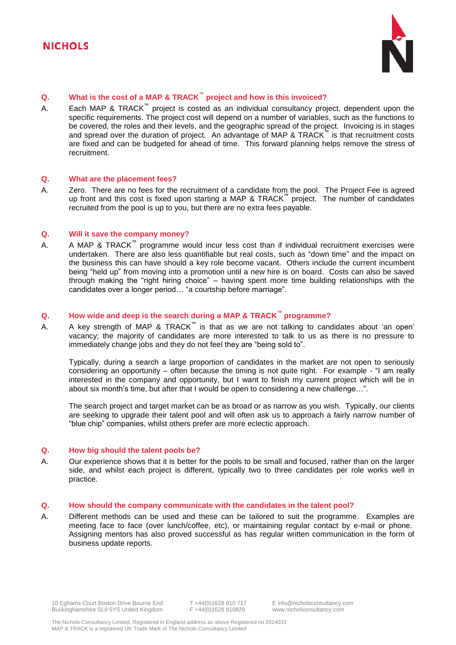

# **Q. What is the cost of a MAP & TRACK™ project and how is this invoiced?**

A. Each MAP & TRACK<sup>™</sup> project is costed as an individual consultancy project, dependent upon the specific requirements. The project cost will depend on a number of variables, such as the functions to be covered, the roles and their levels, and the geographic spread of the project. Invoicing is in stages and spread over the duration of project. An advantage of MAP & TRACK™ is that recruitment costs are fixed and can be budgeted for ahead of time. This forward planning helps remove the stress of recruitment.

#### **Q. What are the placement fees?**

A. Zero. There are no fees for the recruitment of a candidate from the pool. The Project Fee is agreed up front and this cost is fixed upon starting a MAP & TRACK™ project. The number of candidates recruited from the pool is up to you, but there are no extra fees payable.

#### **Q. Will it save the company money?**

A. A MAP & TRACK<sup>™</sup> programme would incur less cost than if individual recruitment exercises were undertaken. There are also less quantifiable but real costs, such as "down time" and the impact on the business this can have should a key role become vacant. Others include the current incumbent being "held up" from moving into a promotion until a new hire is on board. Costs can also be saved through making the "right hiring choice" – having spent more time building relationships with the candidates over a longer period… "a courtship before marriage".

# **Q. How wide and deep is the search during a MAP & TRACK™ programme?**

A. A key strength of MAP & TRACK<sup>""</sup> is that as we are not talking to candidates about 'an open' vacancy; the majority of candidates are more interested to talk to us as there is no pressure to immediately change jobs and they do not feel they are "being sold to".

Typically, during a search a large proportion of candidates in the market are not open to seriously considering an opportunity – often because the timing is not quite right. For example - "I am really interested in the company and opportunity, but I want to finish my current project which will be in about six month's time, but after that I would be open to considering a new challenge…".

The search project and target market can be as broad or as narrow as you wish. Typically, our clients are seeking to upgrade their talent pool and will often ask us to approach a fairly narrow number of "blue chip" companies, whilst others prefer are more eclectic approach.

#### **Q. How big should the talent pools be?**

A. Our experience shows that it is better for the pools to be small and focused, rather than on the larger side, and whilst each project is different, typically two to three candidates per role works well in practice.

#### **Q. How should the company communicate with the candidates in the talent pool?**

A. Different methods can be used and these can be tailored to suit the programme. Examples are meeting face to face (over lunch/coffee, etc), or maintaining regular contact by e-mail or phone. Assigning mentors has also proved successful as has regular written communication in the form of business update reports.